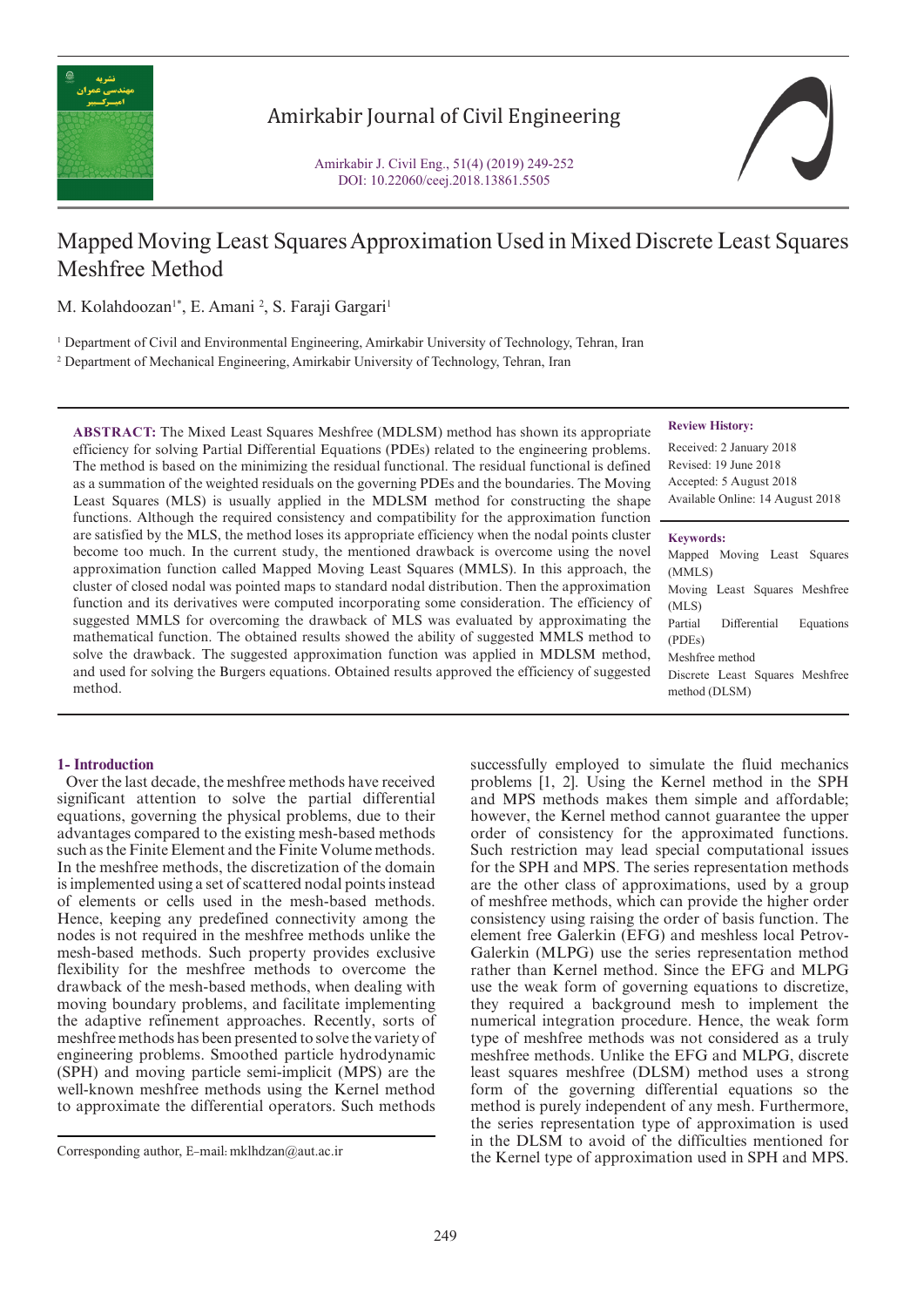

# Amirkabir Journal of Civil Engineering



# Mapped Moving Least Squares Approximation Used in Mixed Discrete Least Squares Meshfree Method

M. Kolahdoozan<sup>1\*</sup>, E. Amani <sup>2</sup>, S. Faraji Gargari<sup>1</sup>

1 Department of Civil and Environmental Engineering, Amirkabir University of Technology, Tehran, Iran

2 Department of Mechanical Engineering, Amirkabir University of Technology, Tehran, Iran

**ABSTRACT:** The Mixed Least Squares Meshfree (MDLSM) method has shown its appropriate efficiency for solving Partial Differential Equations (PDEs) related to the engineering problems. The method is based on the minimizing the residual functional. The residual functional is defined as a summation of the weighted residuals on the governing PDEs and the boundaries. The Moving Least Squares (MLS) is usually applied in the MDLSM method for constructing the shape functions. Although the required consistency and compatibility for the approximation function are satisfied by the MLS, the method loses its appropriate efficiency when the nodal points cluster become too much. In the current study, the mentioned drawback is overcome using the novel approximation function called Mapped Moving Least Squares (MMLS). In this approach, the cluster of closed nodal was pointed maps to standard nodal distribution. Then the approximation function and its derivatives were computed incorporating some consideration. The efficiency of suggested MMLS for overcoming the drawback of MLS was evaluated by approximating the mathematical function. The obtained results showed the ability of suggested MMLS method to solve the drawback. The suggested approximation function was applied in MDLSM method, and used for solving the Burgers equations. Obtained results approved the efficiency of suggested method.

## **Review History:**

Received: 2 January 2018 Revised: 19 June 2018 Accepted: 5 August 2018 Available Online: 14 August 2018

## **Keywords:**

Mapped Moving Least Squares (MMLS) Moving Least Squares Meshfree (MLS) Partial Differential Equations (PDEs) Meshfree method Discrete Least Squares Meshfree method (DLSM)

# **1- Introduction**

 Over the last decade, the meshfree methods have received significant attention to solve the partial differential equations, governing the physical problems, due to their advantages compared to the existing mesh-based methods such as the Finite Element and the Finite Volume methods. In the meshfree methods, the discretization of the domain is implemented using a set of scattered nodal points instead of elements or cells used in the mesh-based methods. Hence, keeping any predefined connectivity among the nodes is not required in the meshfree methods unlike the mesh-based methods. Such property provides exclusive flexibility for the meshfree methods to overcome the drawback of the mesh-based methods, when dealing with moving boundary problems, and facilitate implementing the adaptive refinement approaches. Recently, sorts of meshfree methods has been presented to solve the variety of engineering problems. Smoothed particle hydrodynamic (SPH) and moving particle semi-implicit (MPS) are the well-known meshfree methods using the Kernel method to approximate the differential operators. Such methods

successfully employed to simulate the fluid mechanics problems [1, 2]. Using the Kernel method in the SPH and MPS methods makes them simple and affordable; however, the Kernel method cannot guarantee the upper order of consistency for the approximated functions. Such restriction may lead special computational issues for the SPH and MPS. The series representation methods are the other class of approximations, used by a group of meshfree methods, which can provide the higher order consistency using raising the order of basis function. The element free Galerkin (EFG) and meshless local Petrov-Galerkin (MLPG) use the series representation method rather than Kernel method. Since the EFG and MLPG use the weak form of governing equations to discretize, they required a background mesh to implement the numerical integration procedure. Hence, the weak form type of meshfree methods was not considered as a truly meshfree methods. Unlike the EFG and MLPG, discrete least squares meshfree (DLSM) method uses a strong form of the governing differential equations so the method is purely independent of any mesh. Furthermore, the series representation type of approximation is used in the DLSM to avoid of the difficulties mentioned for the Kernel type of approximation used in SPH and MPS. Corresponding author, E-mail: mklhdzan@aut.ac.ir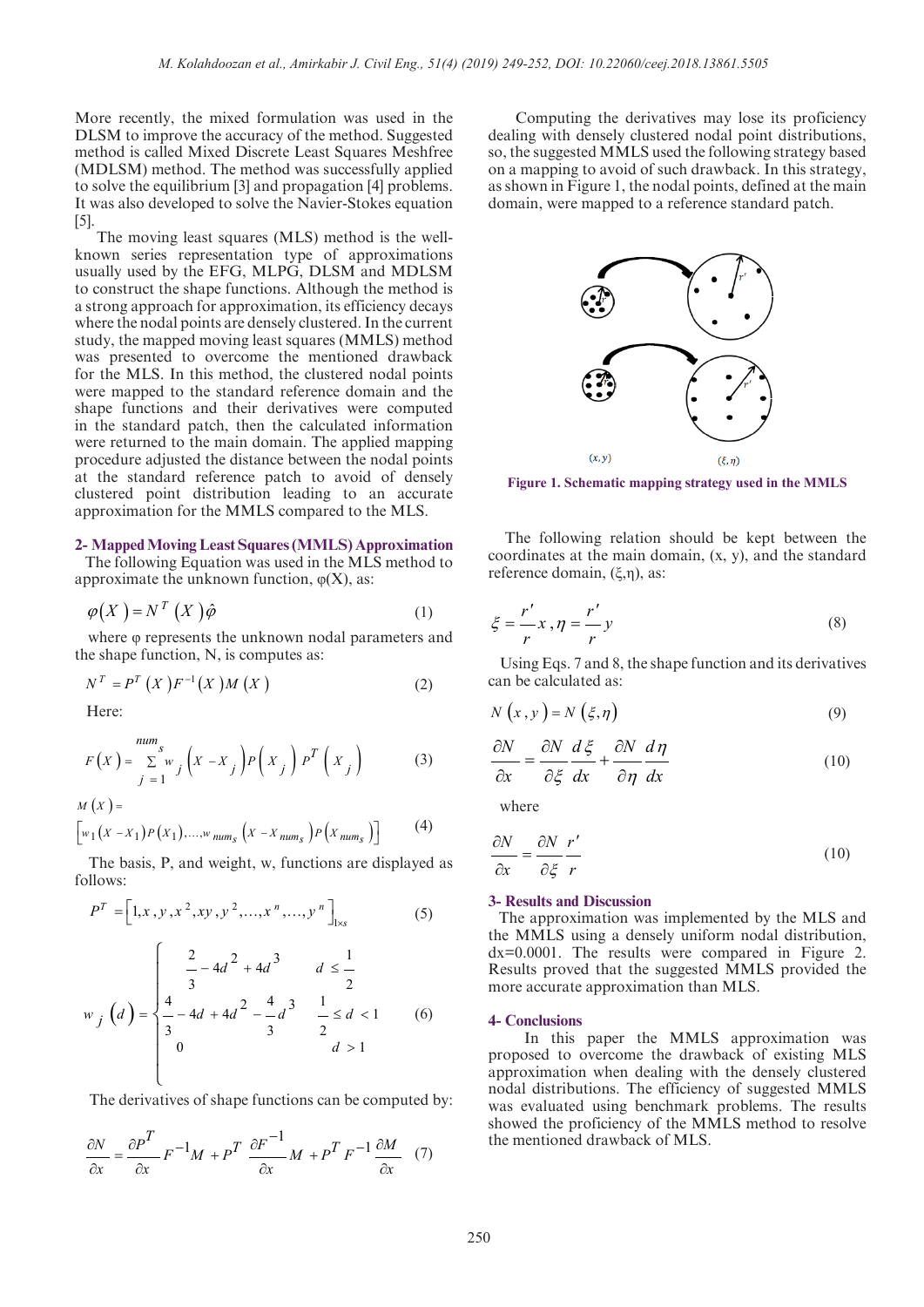More recently, the mixed formulation was used in the DLSM to improve the accuracy of the method. Suggested method is called Mixed Discrete Least Squares Meshfree (MDLSM) method. The method was successfully applied to solve the equilibrium [3] and propagation [4] problems. It was also developed to solve the Navier-Stokes equation [5].

 The moving least squares (MLS) method is the wellknown series representation type of approximations usually used by the EFG, MLPG, DLSM and MDLSM to construct the shape functions. Although the method is a strong approach for approximation, its efficiency decays where the nodal points are densely clustered. In the current study, the mapped moving least squares (MMLS) method was presented to overcome the mentioned drawback for the MLS. In this method, the clustered nodal points were mapped to the standard reference domain and the shape functions and their derivatives were computed in the standard patch, then the calculated information were returned to the main domain. The applied mapping procedure adjusted the distance between the nodal points at the standard reference patch to avoid of densely clustered point distribution leading to an accurate approximation for the MMLS compared to the MLS.

### **2- Mapped Moving Least Squares (MMLS) Approximation**

 The following Equation was used in the MLS method to approximate the unknown function,  $\varphi(X)$ , as:

$$
\varphi(X) = N^T(X)\hat{\varphi}
$$
 (1)

 where φ represents the unknown nodal parameters and the shape function, N, is computes as:

$$
N^{T} = P^{T} (X) F^{-1} (X) M (X)
$$
 (2)

Here:

$$
F(X) = \sum_{j=1}^{num_s} y_j \left( X - X_j \right) P\left( X_j \right) P^T\left( X_j \right) \tag{3}
$$

$$
M(X) = \left[ w_1(X - X_1) P(X_1), ..., w_{num_S} (X - X_{num_S}) P(X_{num_S}) \right]
$$
 (4)

 The basis, P, and weight, w, functions are displayed as follows:

$$
P^{T} = \left[1, x, y, x^{2}, xy, y^{2}, \dots, x^{n}, \dots, y^{n}\right]_{1 \times s}
$$
 (5)

$$
w_j\left(d\right) = \begin{cases} \frac{2}{3} - 4d^2 + 4d^3 & d \le \frac{1}{2} \\ \frac{4}{3} - 4d + 4d^2 - \frac{4}{3}d^3 & \frac{1}{2} \le d < 1 \\ 0 & d > 1 \end{cases} \tag{6}
$$

The derivatives of shape functions can be computed by:

$$
\frac{\partial N}{\partial x} = \frac{\partial P^T}{\partial x} F^{-1} M + P^T \frac{\partial F^{-1}}{\partial x} M + P^T F^{-1} \frac{\partial M}{\partial x} \tag{7}
$$

 Computing the derivatives may lose its proficiency dealing with densely clustered nodal point distributions, so, the suggested MMLS used the following strategy based on a mapping to avoid of such drawback. In this strategy, as shown in Figure 1, the nodal points, defined at the main domain, were mapped to a reference standard patch.



**Figure 1. Schematic mapping strategy used in the MMLS**

 The following relation should be kept between the coordinates at the main domain, (x, y), and the standard reference domain, (ξ,η), as:

$$
\xi = \frac{r'}{r} x \, , \eta = \frac{r'}{r} y \tag{8}
$$

 Using Eqs. 7 and 8, the shape function and its derivatives can be calculated as:

$$
N(x, y) = N(\xi, \eta)
$$
\n(9)

$$
\frac{\partial N}{\partial x} = \frac{\partial N}{\partial \xi} \frac{d\xi}{dx} + \frac{\partial N}{\partial \eta} \frac{d\eta}{dx}
$$
(10)

where

$$
\frac{\partial N}{\partial x} = \frac{\partial N}{\partial \xi} \frac{r'}{r}
$$
(10)

### **3- Results and Discussion**

 The approximation was implemented by the MLS and the MMLS using a densely uniform nodal distribution, dx=0.0001. The results were compared in Figure 2. Results proved that the suggested MMLS provided the more accurate approximation than MLS.

#### **4- Conclusions**

 In this paper the MMLS approximation was proposed to overcome the drawback of existing MLS approximation when dealing with the densely clustered nodal distributions. The efficiency of suggested MMLS was evaluated using benchmark problems. The results showed the proficiency of the MMLS method to resolve the mentioned drawback of MLS.